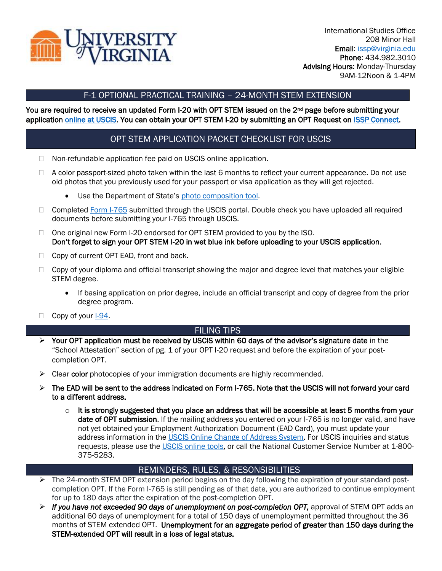

## F-1 OPTIONAL PRACTICAL TRAINING – 24-MONTH STEM EXTENSION

#### You are required to receive an updated Form I-20 with OPT STEM issued on the 2<sup>nd</sup> page before submitting your application [online at USCIS.](https://my.uscis.gov/) You can obtain your OPT STEM I-20 by submitting an OPT Request on [ISSP Connect.](https://myuva.sharepoint.com/sites/ISSPAdvisors/Shared%20Documents/General/connect.issp.virginia.edu)

# OPT STEM APPLICATION PACKET CHECKLIST FOR USCIS

- □ Non-refundable application fee paid on USCIS online application.
- $\Box$  A color passport-sized photo taken within the last 6 months to reflect your current appearance. Do not use old photos that you previously used for your passport or visa application as they will get rejected.
	- Use the Department of State's [photo composition tool.](https://travel.state.gov/content/travel/en/us-visas/visa-information-resources/photos.html)
- □ Completed [Form I-765](https://www.uscis.gov/i-765) submitted through the USCIS portal. Double check you have uploaded all required documents before submitting your I-765 through USCIS.
- $\Box$  One original new Form I-20 endorsed for OPT STEM provided to you by the ISO. Don't forget to sign your OPT STEM I-20 in wet blue ink before uploading to your USCIS application.
- $\Box$  Copy of current OPT EAD, front and back.
- □ Copy of your diploma and official transcript showing the major and degree level that matches your eligible STEM degree.
	- If basing application on prior degree, include an official transcript and copy of degree from the prior degree program.
- $\Box$  Copy of your [I-94.](https://i94.cbp.dhs.gov/I94/#/home)

## FILING TIPS

- $\triangleright$  Your OPT application must be received by USCIS within 60 days of the advisor's signature date in the "School Attestation" section of pg. 1 of your OPT I-20 request and before the expiration of your postcompletion OPT.
- $\triangleright$  Clear color photocopies of your immigration documents are highly recommended.
- ➢ The EAD will be sent to the address indicated on Form I-765. Note that the USCIS will not forward your card to a different address.
	- $\circ$  It is strongly suggested that you place an address that will be accessible at least 5 months from your date of OPT submission. If the mailing address you entered on your I-765 is no longer valid, and have not yet obtained your Employment Authorization Document (EAD Card), you must update your address information in the [USCIS Online Change of Address System.](https://egov.uscis.gov/coa/displayCOAForm.do) For USCIS inquiries and status requests, please use the [USCIS online tools,](https://www.uscis.gov/tools) or call the National Customer Service Number at 1-800-375-5283.

## REMINDERS, RULES, & RESONSIBILITIES

- ➢ The 24-month STEM OPT extension period begins on the day following the expiration of your standard postcompletion OPT. If the Form I-765 is still pending as of that date, you are authorized to continue employment for up to 180 days after the expiration of the post-completion OPT.
- ➢ *If you have not exceeded 90 days of unemployment on post-completion OPT,* approval of STEM OPT adds an additional 60 days of unemployment for a total of 150 days of unemployment permitted throughout the 36 months of STEM extended OPT. Unemployment for an aggregate period of greater than 150 days during the STEM-extended OPT will result in a loss of legal status.